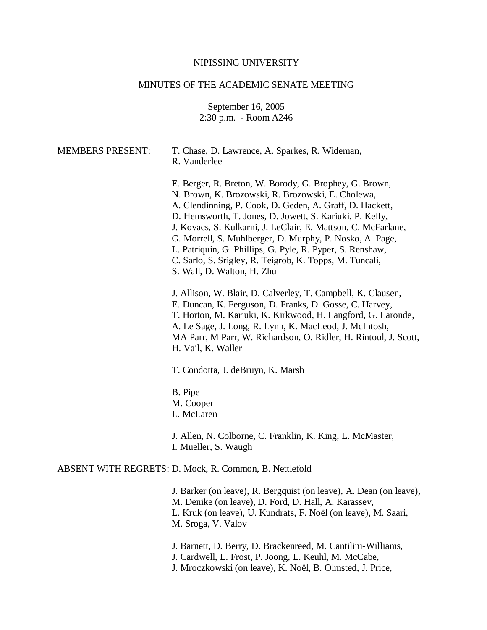## NIPISSING UNIVERSITY

# MINUTES OF THE ACADEMIC SENATE MEETING

September 16, 2005 2:30 p.m. - Room A246

| <b>MEMBERS PRESENT:</b> | T. Chase, D. Lawrence, A. Sparkes, R. Wideman,<br>R. Vanderlee                                                                                                                                                                                                                                                                                                                                                                                                                                                         |
|-------------------------|------------------------------------------------------------------------------------------------------------------------------------------------------------------------------------------------------------------------------------------------------------------------------------------------------------------------------------------------------------------------------------------------------------------------------------------------------------------------------------------------------------------------|
|                         | E. Berger, R. Breton, W. Borody, G. Brophey, G. Brown,<br>N. Brown, K. Brozowski, R. Brozowski, E. Cholewa,<br>A. Clendinning, P. Cook, D. Geden, A. Graff, D. Hackett,<br>D. Hemsworth, T. Jones, D. Jowett, S. Kariuki, P. Kelly,<br>J. Kovacs, S. Kulkarni, J. LeClair, E. Mattson, C. McFarlane,<br>G. Morrell, S. Muhlberger, D. Murphy, P. Nosko, A. Page,<br>L. Patriquin, G. Phillips, G. Pyle, R. Pyper, S. Renshaw,<br>C. Sarlo, S. Srigley, R. Teigrob, K. Topps, M. Tuncali,<br>S. Wall, D. Walton, H. Zhu |
|                         | J. Allison, W. Blair, D. Calverley, T. Campbell, K. Clausen,<br>E. Duncan, K. Ferguson, D. Franks, D. Gosse, C. Harvey,<br>T. Horton, M. Kariuki, K. Kirkwood, H. Langford, G. Laronde,<br>A. Le Sage, J. Long, R. Lynn, K. MacLeod, J. McIntosh,<br>MA Parr, M Parr, W. Richardson, O. Ridler, H. Rintoul, J. Scott,<br>H. Vail, K. Waller                                                                                                                                                                            |
|                         | T. Condotta, J. deBruyn, K. Marsh                                                                                                                                                                                                                                                                                                                                                                                                                                                                                      |
|                         | B. Pipe<br>M. Cooper<br>L. McLaren                                                                                                                                                                                                                                                                                                                                                                                                                                                                                     |
|                         | J. Allen, N. Colborne, C. Franklin, K. King, L. McMaster,<br>I. Mueller, S. Waugh                                                                                                                                                                                                                                                                                                                                                                                                                                      |
|                         | <b>ABSENT WITH REGRETS: D. Mock, R. Common, B. Nettlefold</b>                                                                                                                                                                                                                                                                                                                                                                                                                                                          |
|                         | J. Barker (on leave), R. Bergquist (on leave), A. Dean (on leave),<br>M. Denike (on leave), D. Ford, D. Hall, A. Karassev,<br>L. Kruk (on leave), U. Kundrats, F. Noël (on leave), M. Saari,<br>M. Sroga, V. Valov                                                                                                                                                                                                                                                                                                     |

J. Barnett, D. Berry, D. Brackenreed, M. Cantilini-Williams,

J. Cardwell, L. Frost, P. Joong, L. Keuhl, M. McCabe,

J. Mroczkowski (on leave), K. Noël, B. Olmsted, J. Price,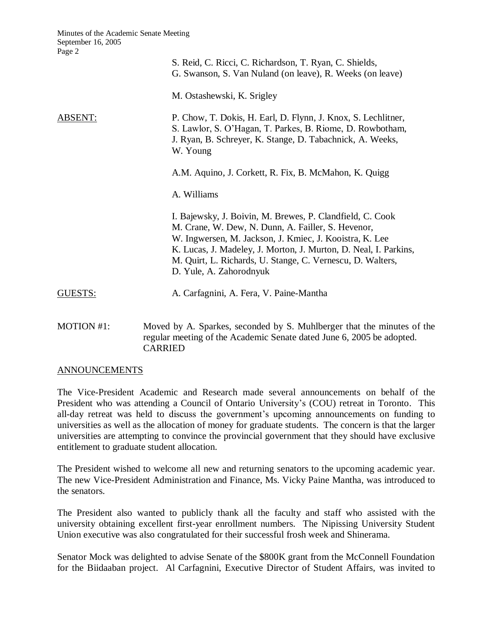|                | S. Reid, C. Ricci, C. Richardson, T. Ryan, C. Shields,<br>G. Swanson, S. Van Nuland (on leave), R. Weeks (on leave)                                                                                                                                                                                                                     |
|----------------|-----------------------------------------------------------------------------------------------------------------------------------------------------------------------------------------------------------------------------------------------------------------------------------------------------------------------------------------|
|                | M. Ostashewski, K. Srigley                                                                                                                                                                                                                                                                                                              |
| <b>ABSENT:</b> | P. Chow, T. Dokis, H. Earl, D. Flynn, J. Knox, S. Lechlitner,<br>S. Lawlor, S. O'Hagan, T. Parkes, B. Riome, D. Rowbotham,<br>J. Ryan, B. Schreyer, K. Stange, D. Tabachnick, A. Weeks,<br>W. Young                                                                                                                                     |
|                | A.M. Aquino, J. Corkett, R. Fix, B. McMahon, K. Quigg                                                                                                                                                                                                                                                                                   |
|                | A. Williams                                                                                                                                                                                                                                                                                                                             |
|                | I. Bajewsky, J. Boivin, M. Brewes, P. Clandfield, C. Cook<br>M. Crane, W. Dew, N. Dunn, A. Failler, S. Hevenor,<br>W. Ingwersen, M. Jackson, J. Kmiec, J. Kooistra, K. Lee<br>K. Lucas, J. Madeley, J. Morton, J. Murton, D. Neal, I. Parkins,<br>M. Quirt, L. Richards, U. Stange, C. Vernescu, D. Walters,<br>D. Yule, A. Zahorodnyuk |
| GUESTS:        | A. Carfagnini, A. Fera, V. Paine-Mantha                                                                                                                                                                                                                                                                                                 |
| MOTION #1:     | Moved by A. Sparkes, seconded by S. Muhlberger that the minutes of the                                                                                                                                                                                                                                                                  |

regular meeting of the Academic Senate dated June 6, 2005 be adopted. CARRIED

#### ANNOUNCEMENTS

The Vice-President Academic and Research made several announcements on behalf of the President who was attending a Council of Ontario University's (COU) retreat in Toronto. This all-day retreat was held to discuss the government's upcoming announcements on funding to universities as well as the allocation of money for graduate students. The concern is that the larger universities are attempting to convince the provincial government that they should have exclusive entitlement to graduate student allocation.

The President wished to welcome all new and returning senators to the upcoming academic year. The new Vice-President Administration and Finance, Ms. Vicky Paine Mantha, was introduced to the senators.

The President also wanted to publicly thank all the faculty and staff who assisted with the university obtaining excellent first-year enrollment numbers. The Nipissing University Student Union executive was also congratulated for their successful frosh week and Shinerama.

Senator Mock was delighted to advise Senate of the \$800K grant from the McConnell Foundation for the Biidaaban project. Al Carfagnini, Executive Director of Student Affairs, was invited to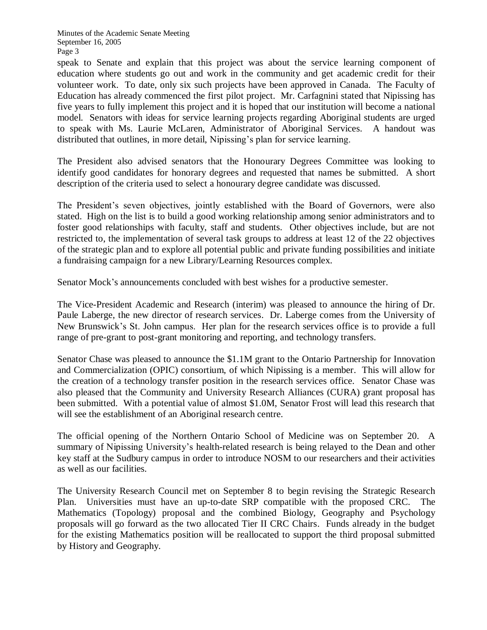speak to Senate and explain that this project was about the service learning component of education where students go out and work in the community and get academic credit for their volunteer work. To date, only six such projects have been approved in Canada. The Faculty of Education has already commenced the first pilot project. Mr. Carfagnini stated that Nipissing has five years to fully implement this project and it is hoped that our institution will become a national model. Senators with ideas for service learning projects regarding Aboriginal students are urged to speak with Ms. Laurie McLaren, Administrator of Aboriginal Services. A handout was distributed that outlines, in more detail, Nipissing's plan for service learning.

The President also advised senators that the Honourary Degrees Committee was looking to identify good candidates for honorary degrees and requested that names be submitted. A short description of the criteria used to select a honourary degree candidate was discussed.

The President's seven objectives, jointly established with the Board of Governors, were also stated. High on the list is to build a good working relationship among senior administrators and to foster good relationships with faculty, staff and students. Other objectives include, but are not restricted to, the implementation of several task groups to address at least 12 of the 22 objectives of the strategic plan and to explore all potential public and private funding possibilities and initiate a fundraising campaign for a new Library/Learning Resources complex.

Senator Mock's announcements concluded with best wishes for a productive semester.

The Vice-President Academic and Research (interim) was pleased to announce the hiring of Dr. Paule Laberge, the new director of research services. Dr. Laberge comes from the University of New Brunswick's St. John campus. Her plan for the research services office is to provide a full range of pre-grant to post-grant monitoring and reporting, and technology transfers.

Senator Chase was pleased to announce the \$1.1M grant to the Ontario Partnership for Innovation and Commercialization (OPIC) consortium, of which Nipissing is a member. This will allow for the creation of a technology transfer position in the research services office. Senator Chase was also pleased that the Community and University Research Alliances (CURA) grant proposal has been submitted. With a potential value of almost \$1.0M, Senator Frost will lead this research that will see the establishment of an Aboriginal research centre.

The official opening of the Northern Ontario School of Medicine was on September 20. A summary of Nipissing University's health-related research is being relayed to the Dean and other key staff at the Sudbury campus in order to introduce NOSM to our researchers and their activities as well as our facilities.

The University Research Council met on September 8 to begin revising the Strategic Research Plan. Universities must have an up-to-date SRP compatible with the proposed CRC. The Mathematics (Topology) proposal and the combined Biology, Geography and Psychology proposals will go forward as the two allocated Tier II CRC Chairs. Funds already in the budget for the existing Mathematics position will be reallocated to support the third proposal submitted by History and Geography.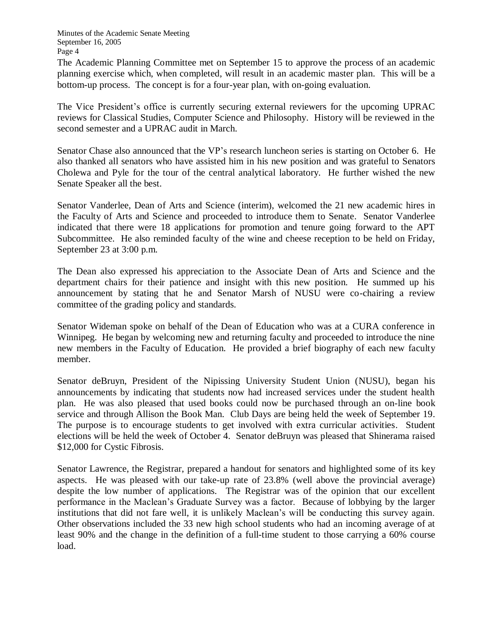The Academic Planning Committee met on September 15 to approve the process of an academic planning exercise which, when completed, will result in an academic master plan. This will be a bottom-up process. The concept is for a four-year plan, with on-going evaluation.

The Vice President's office is currently securing external reviewers for the upcoming UPRAC reviews for Classical Studies, Computer Science and Philosophy. History will be reviewed in the second semester and a UPRAC audit in March.

Senator Chase also announced that the VP's research luncheon series is starting on October 6. He also thanked all senators who have assisted him in his new position and was grateful to Senators Cholewa and Pyle for the tour of the central analytical laboratory. He further wished the new Senate Speaker all the best.

Senator Vanderlee, Dean of Arts and Science (interim), welcomed the 21 new academic hires in the Faculty of Arts and Science and proceeded to introduce them to Senate. Senator Vanderlee indicated that there were 18 applications for promotion and tenure going forward to the APT Subcommittee. He also reminded faculty of the wine and cheese reception to be held on Friday, September 23 at 3:00 p.m.

The Dean also expressed his appreciation to the Associate Dean of Arts and Science and the department chairs for their patience and insight with this new position. He summed up his announcement by stating that he and Senator Marsh of NUSU were co-chairing a review committee of the grading policy and standards.

Senator Wideman spoke on behalf of the Dean of Education who was at a CURA conference in Winnipeg. He began by welcoming new and returning faculty and proceeded to introduce the nine new members in the Faculty of Education. He provided a brief biography of each new faculty member.

Senator deBruyn, President of the Nipissing University Student Union (NUSU), began his announcements by indicating that students now had increased services under the student health plan. He was also pleased that used books could now be purchased through an on-line book service and through Allison the Book Man. Club Days are being held the week of September 19. The purpose is to encourage students to get involved with extra curricular activities. Student elections will be held the week of October 4. Senator deBruyn was pleased that Shinerama raised \$12,000 for Cystic Fibrosis.

Senator Lawrence, the Registrar, prepared a handout for senators and highlighted some of its key aspects. He was pleased with our take-up rate of 23.8% (well above the provincial average) despite the low number of applications. The Registrar was of the opinion that our excellent performance in the Maclean's Graduate Survey was a factor. Because of lobbying by the larger institutions that did not fare well, it is unlikely Maclean's will be conducting this survey again. Other observations included the 33 new high school students who had an incoming average of at least 90% and the change in the definition of a full-time student to those carrying a 60% course load.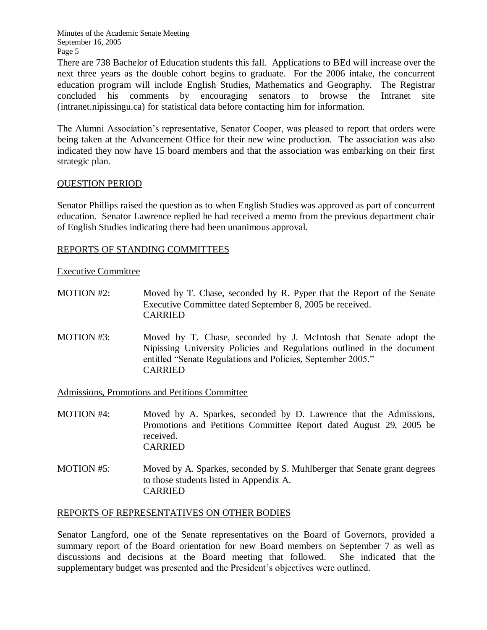There are 738 Bachelor of Education students this fall. Applications to BEd will increase over the next three years as the double cohort begins to graduate. For the 2006 intake, the concurrent education program will include English Studies, Mathematics and Geography. The Registrar concluded his comments by encouraging senators to browse the Intranet site (intranet.nipissingu.ca) for statistical data before contacting him for information.

The Alumni Association's representative, Senator Cooper, was pleased to report that orders were being taken at the Advancement Office for their new wine production. The association was also indicated they now have 15 board members and that the association was embarking on their first strategic plan.

## QUESTION PERIOD

Senator Phillips raised the question as to when English Studies was approved as part of concurrent education. Senator Lawrence replied he had received a memo from the previous department chair of English Studies indicating there had been unanimous approval.

## REPORTS OF STANDING COMMITTEES

Executive Committee

- MOTION #2: Moved by T. Chase, seconded by R. Pyper that the Report of the Senate Executive Committee dated September 8, 2005 be received. CARRIED
- MOTION #3: Moved by T. Chase, seconded by J. McIntosh that Senate adopt the Nipissing University Policies and Regulations outlined in the document entitled "Senate Regulations and Policies, September 2005." CARRIED

Admissions, Promotions and Petitions Committee

- MOTION #4: Moved by A. Sparkes, seconded by D. Lawrence that the Admissions, Promotions and Petitions Committee Report dated August 29, 2005 be received. CARRIED
- MOTION #5: Moved by A. Sparkes, seconded by S. Muhlberger that Senate grant degrees to those students listed in Appendix A. CARRIED

## REPORTS OF REPRESENTATIVES ON OTHER BODIES

Senator Langford, one of the Senate representatives on the Board of Governors, provided a summary report of the Board orientation for new Board members on September 7 as well as discussions and decisions at the Board meeting that followed. She indicated that the supplementary budget was presented and the President's objectives were outlined.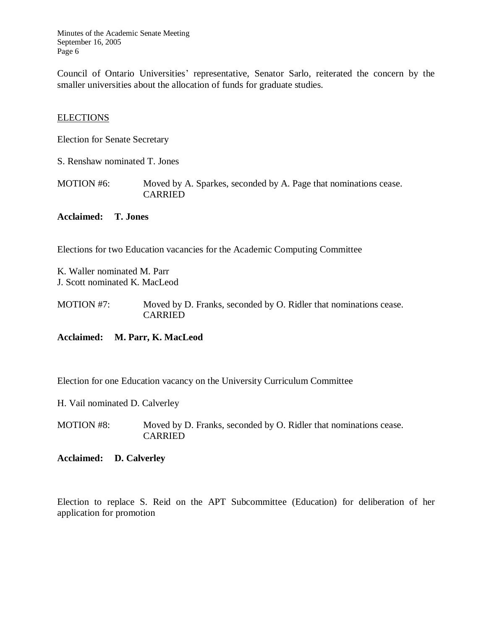Council of Ontario Universities' representative, Senator Sarlo, reiterated the concern by the smaller universities about the allocation of funds for graduate studies.

### **ELECTIONS**

Election for Senate Secretary

S. Renshaw nominated T. Jones

MOTION #6: Moved by A. Sparkes, seconded by A. Page that nominations cease. CARRIED

### **Acclaimed: T. Jones**

Elections for two Education vacancies for the Academic Computing Committee

K. Waller nominated M. Parr J. Scott nominated K. MacLeod

MOTION #7: Moved by D. Franks, seconded by O. Ridler that nominations cease. CARRIED

**Acclaimed: M. Parr, K. MacLeod**

Election for one Education vacancy on the University Curriculum Committee

H. Vail nominated D. Calverley

MOTION #8: Moved by D. Franks, seconded by O. Ridler that nominations cease. **CARRIED** 

#### **Acclaimed: D. Calverley**

Election to replace S. Reid on the APT Subcommittee (Education) for deliberation of her application for promotion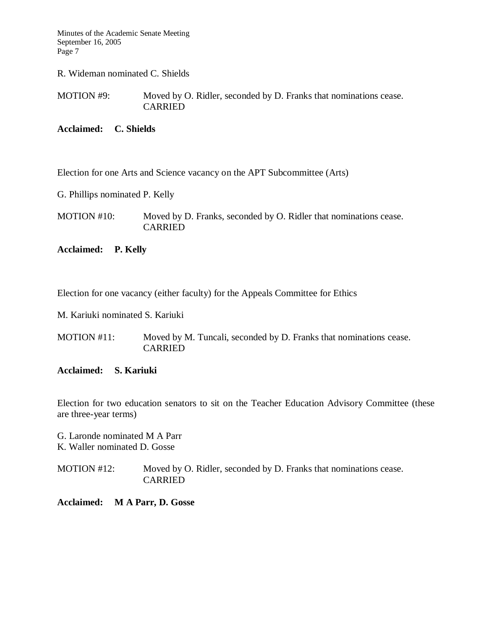R. Wideman nominated C. Shields

MOTION #9: Moved by O. Ridler, seconded by D. Franks that nominations cease. CARRIED

**Acclaimed: C. Shields**

Election for one Arts and Science vacancy on the APT Subcommittee (Arts)

G. Phillips nominated P. Kelly

MOTION #10: Moved by D. Franks, seconded by O. Ridler that nominations cease. CARRIED

**Acclaimed: P. Kelly**

Election for one vacancy (either faculty) for the Appeals Committee for Ethics

M. Kariuki nominated S. Kariuki

MOTION #11: Moved by M. Tuncali, seconded by D. Franks that nominations cease. **CARRIED** 

#### **Acclaimed: S. Kariuki**

Election for two education senators to sit on the Teacher Education Advisory Committee (these are three-year terms)

G. Laronde nominated M A Parr K. Waller nominated D. Gosse

MOTION #12: Moved by O. Ridler, seconded by D. Franks that nominations cease. CARRIED

**Acclaimed: M A Parr, D. Gosse**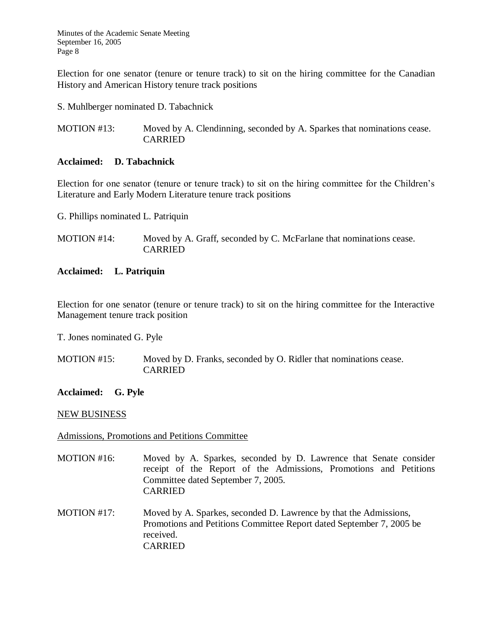Election for one senator (tenure or tenure track) to sit on the hiring committee for the Canadian History and American History tenure track positions

S. Muhlberger nominated D. Tabachnick

MOTION #13: Moved by A. Clendinning, seconded by A. Sparkes that nominations cease. CARRIED

## **Acclaimed: D. Tabachnick**

Election for one senator (tenure or tenure track) to sit on the hiring committee for the Children's Literature and Early Modern Literature tenure track positions

G. Phillips nominated L. Patriquin

MOTION #14: Moved by A. Graff, seconded by C. McFarlane that nominations cease. CARRIED

## **Acclaimed: L. Patriquin**

Election for one senator (tenure or tenure track) to sit on the hiring committee for the Interactive Management tenure track position

T. Jones nominated G. Pyle

MOTION #15: Moved by D. Franks, seconded by O. Ridler that nominations cease. CARRIED

## **Acclaimed: G. Pyle**

#### NEW BUSINESS

## Admissions, Promotions and Petitions Committee

- MOTION #16: Moved by A. Sparkes, seconded by D. Lawrence that Senate consider receipt of the Report of the Admissions, Promotions and Petitions Committee dated September 7, 2005. CARRIED
- MOTION #17: Moved by A. Sparkes, seconded D. Lawrence by that the Admissions, Promotions and Petitions Committee Report dated September 7, 2005 be received. CARRIED